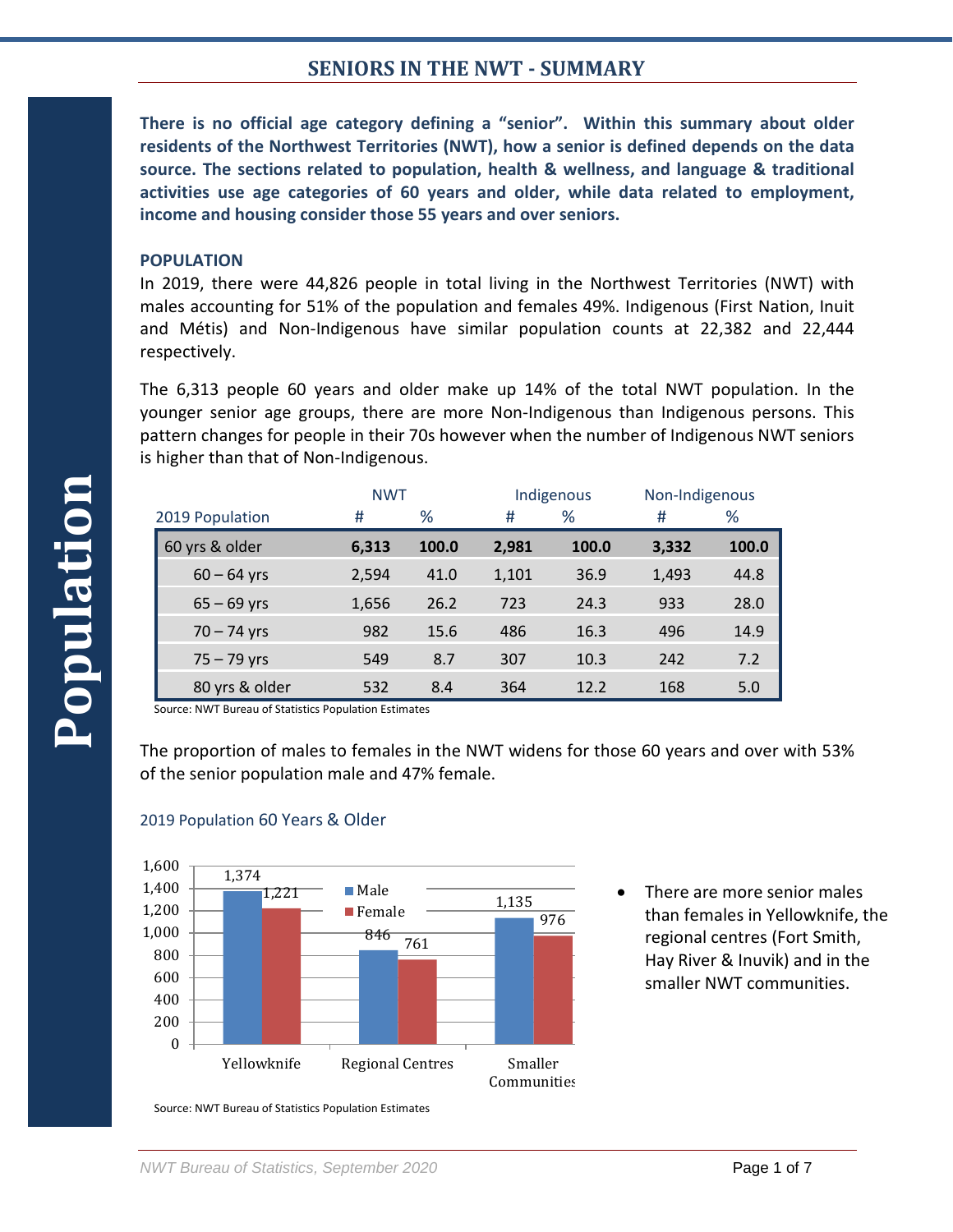**There is no official age category defining a "senior". Within this summary about older residents of the Northwest Territories (NWT), how a senior is defined depends on the data source. The sections related to population, health & wellness, and language & traditional activities use age categories of 60 years and older, while data related to employment, income and housing consider those 55 years and over seniors.**

### **POPULATION**

In 2019, there were 44,826 people in total living in the Northwest Territories (NWT) with males accounting for 51% of the population and females 49%. Indigenous (First Nation, Inuit and Métis) and Non-Indigenous have similar population counts at 22,382 and 22,444 respectively.

The 6,313 people 60 years and older make up 14% of the total NWT population. In the younger senior age groups, there are more Non-Indigenous than Indigenous persons. This pattern changes for people in their 70s however when the number of Indigenous NWT seniors is higher than that of Non-Indigenous.

|                 | <b>NWT</b> |       | Indigenous |       | Non-Indigenous |       |
|-----------------|------------|-------|------------|-------|----------------|-------|
| 2019 Population | #          | %     | #          | ℅     | #              | %     |
| 60 yrs & older  | 6,313      | 100.0 | 2,981      | 100.0 | 3,332          | 100.0 |
| $60 - 64$ yrs   | 2,594      | 41.0  | 1,101      | 36.9  | 1,493          | 44.8  |
| $65 - 69$ yrs   | 1,656      | 26.2  | 723        | 24.3  | 933            | 28.0  |
| $70 - 74$ yrs   | 982        | 15.6  | 486        | 16.3  | 496            | 14.9  |
| $75 - 79$ yrs   | 549        | 8.7   | 307        | 10.3  | 242            | 7.2   |
| 80 yrs & older  | 532        | 8.4   | 364        | 12.2  | 168            | 5.0   |

Source: NWT Bureau of Statistics Population Estimates

The proportion of males to females in the NWT widens for those 60 years and over with 53% of the senior population male and 47% female.



### 2019 Population 60 Years & Older

There are more senior males than females in Yellowknife, the regional centres (Fort Smith, Hay River & Inuvik) and in the smaller NWT communities.

Source: NWT Bureau of Statistics Population Estimates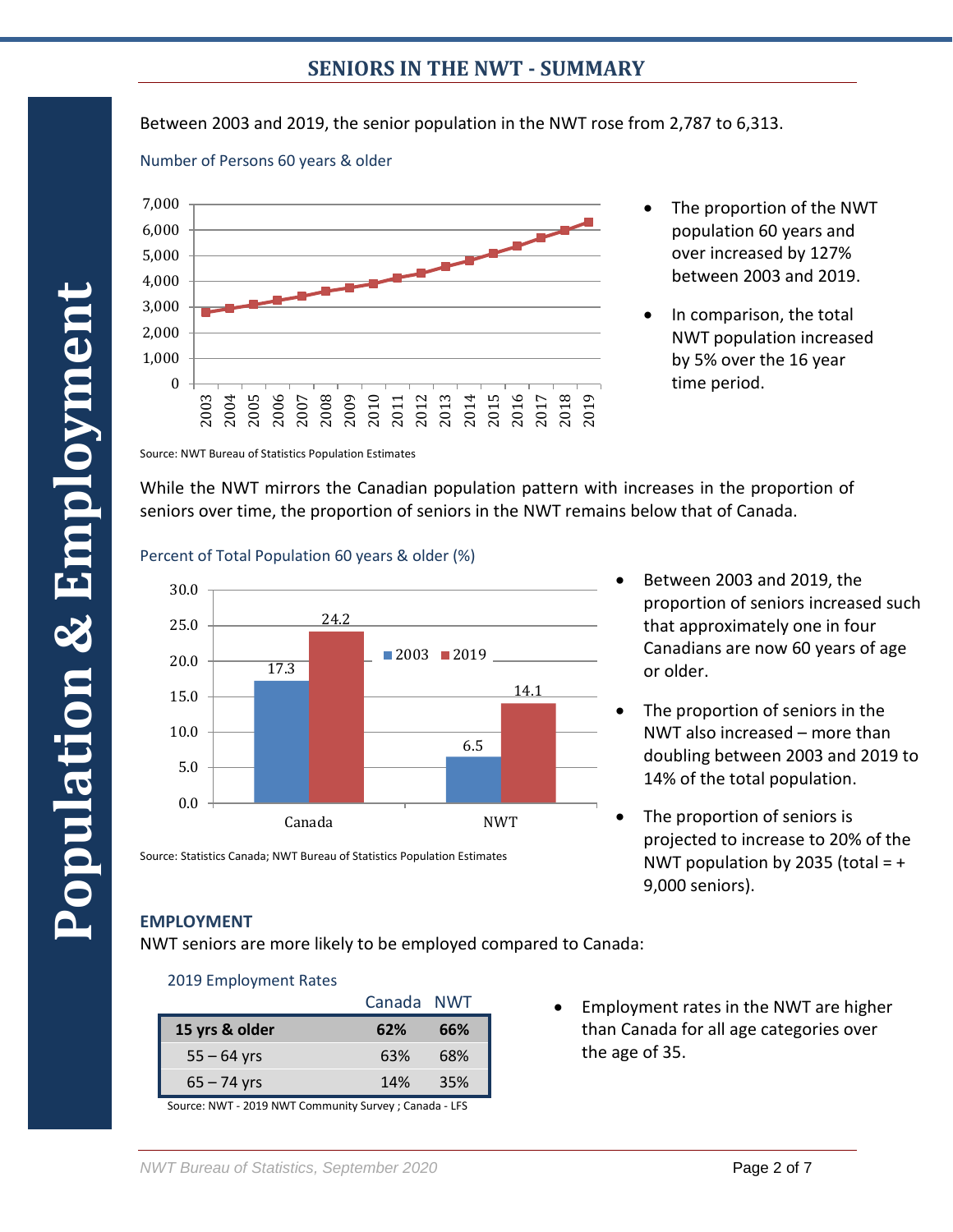Between 2003 and 2019, the senior population in the NWT rose from 2,787 to 6,313.





- The proportion of the NWT population 60 years and over increased by 127% between 2003 and 2019.
- In comparison, the total NWT population increased by 5% over the 16 year time period.

Source: NWT Bureau of Statistics Population Estimates

While the NWT mirrors the Canadian population pattern with increases in the proportion of seniors over time, the proportion of seniors in the NWT remains below that of Canada.

### Percent of Total Population 60 years & older (%)



- Between 2003 and 2019, the proportion of seniors increased such that approximately one in four Canadians are now 60 years of age or older.
- The proportion of seniors in the NWT also increased – more than doubling between 2003 and 2019 to 14% of the total population.
- The proportion of seniors is projected to increase to 20% of the NWT population by 2035 (total  $= +$ 9,000 seniors).

# **EMPLOYMENT**

NWT seniors are more likely to be employed compared to Canada:

## 2019 Employment Rates

| 62% | 66%        |
|-----|------------|
| 63% | 68%        |
| 14% | 35%        |
|     | Canada NWT |

Source: Statistics Canada; NWT Bureau of Statistics Population Estimates

Source: NWT - 2019 NWT Community Survey ; Canada - LFS

• Employment rates in the NWT are higher than Canada for all age categories over the age of 35.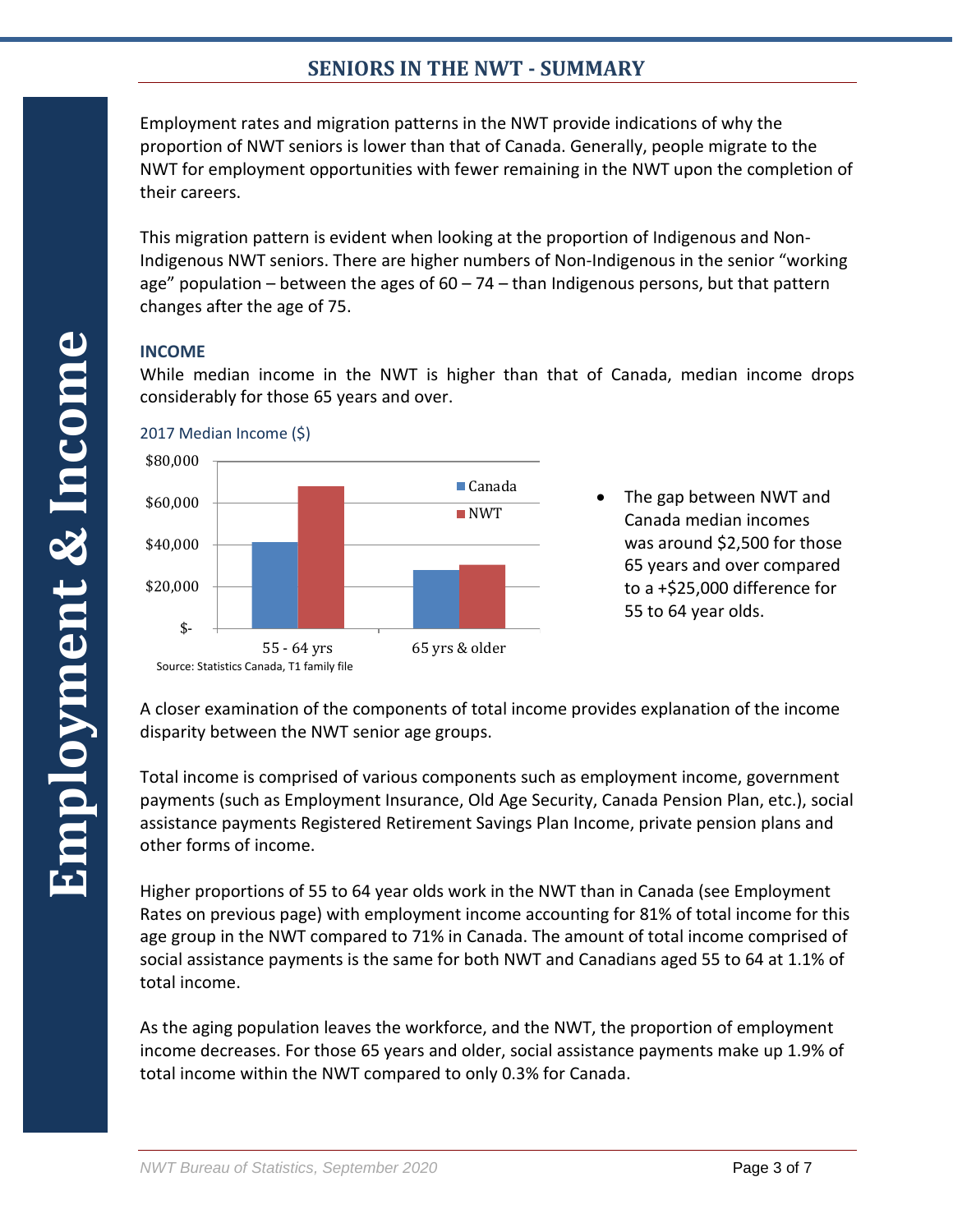Employment rates and migration patterns in the NWT provide indications of why the proportion of NWT seniors is lower than that of Canada. Generally, people migrate to the NWT for employment opportunities with fewer remaining in the NWT upon the completion of their careers.

This migration pattern is evident when looking at the proportion of Indigenous and Non-Indigenous NWT seniors. There are higher numbers of Non-Indigenous in the senior "working age" population – between the ages of  $60 - 74$  – than Indigenous persons, but that pattern changes after the age of 75.

# **INCOME**

While median income in the NWT is higher than that of Canada, median income drops considerably for those 65 years and over.



• The gap between NWT and Canada median incomes was around \$2,500 for those 65 years and over compared to a +\$25,000 difference for 55 to 64 year olds.

A closer examination of the components of total income provides explanation of the income disparity between the NWT senior age groups.

Total income is comprised of various components such as employment income, government payments (such as Employment Insurance, Old Age Security, Canada Pension Plan, etc.), social assistance payments Registered Retirement Savings Plan Income, private pension plans and other forms of income.

Higher proportions of 55 to 64 year olds work in the NWT than in Canada (see Employment Rates on previous page) with employment income accounting for 81% of total income for this age group in the NWT compared to 71% in Canada. The amount of total income comprised of social assistance payments is the same for both NWT and Canadians aged 55 to 64 at 1.1% of total income.

As the aging population leaves the workforce, and the NWT, the proportion of employment income decreases. For those 65 years and older, social assistance payments make up 1.9% of total income within the NWT compared to only 0.3% for Canada.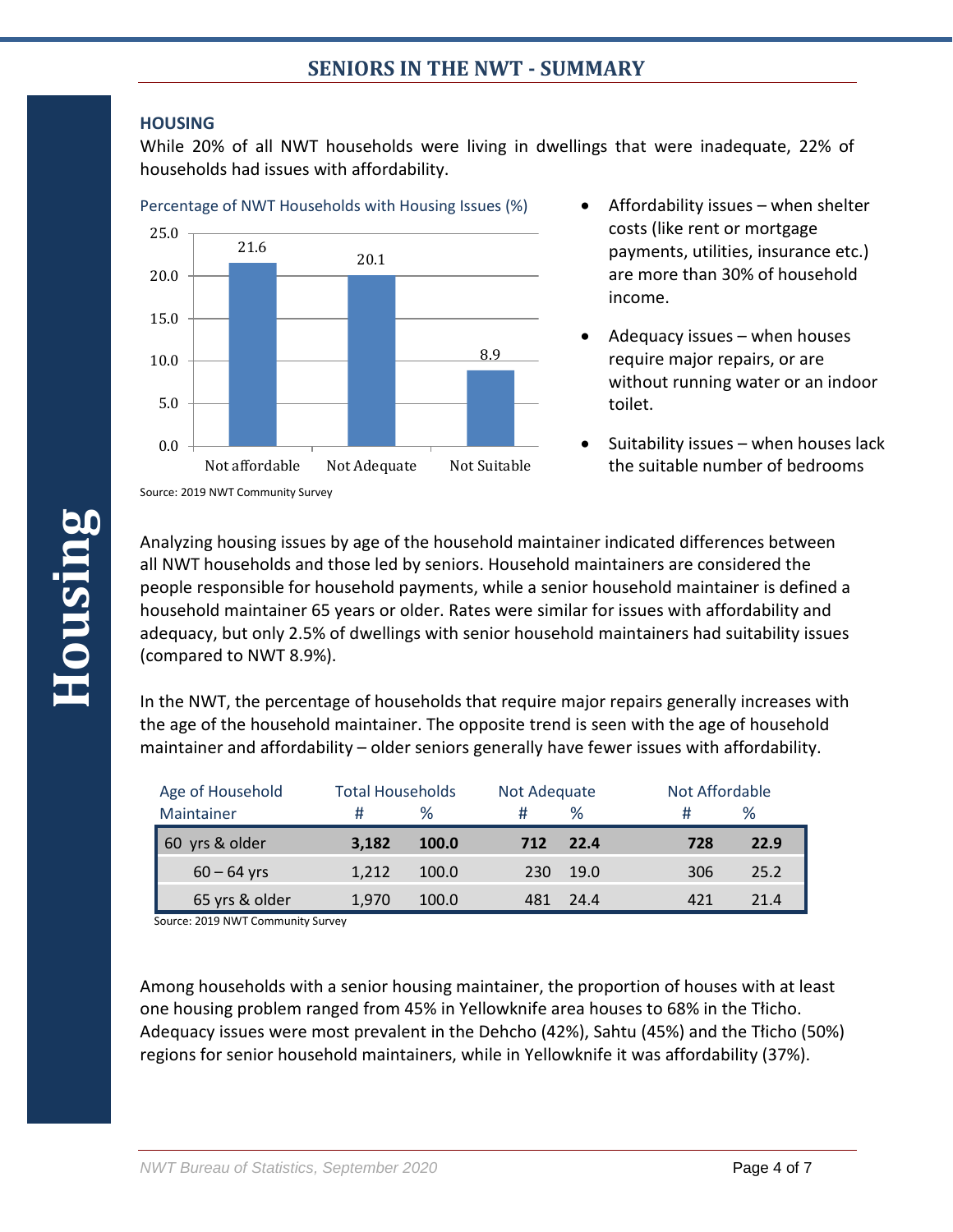## **HOUSING**

While 20% of all NWT households were living in dwellings that were inadequate, 22% of households had issues with affordability.





- Affordability issues when shelter costs (like rent or mortgage payments, utilities, insurance etc.) are more than 30% of household income.
- Adequacy issues when houses require major repairs, or are without running water or an indoor toilet.
- Suitability issues when houses lack the suitable number of bedrooms

Analyzing housing issues by age of the household maintainer indicated differences between all NWT households and those led by seniors. Household maintainers are considered the people responsible for household payments, while a senior household maintainer is defined a household maintainer 65 years or older. Rates were similar for issues with affordability and adequacy, but only 2.5% of dwellings with senior household maintainers had suitability issues (compared to NWT 8.9%).

In the NWT, the percentage of households that require major repairs generally increases with the age of the household maintainer. The opposite trend is seen with the age of household maintainer and affordability – older seniors generally have fewer issues with affordability.

| Age of Household  |       | <b>Total Households</b> |     | Not Adequate |     | Not Affordable |  |
|-------------------|-------|-------------------------|-----|--------------|-----|----------------|--|
| Maintainer        | #     | $\%$                    |     | $\%$         | #   | ℅              |  |
| yrs & older<br>60 | 3.182 | <b>100.0</b>            | 712 | 22.4         | 728 | 22.9           |  |
| $60 - 64$ yrs     | 1.212 | 100.0                   | 230 | 19.0         | 306 | 25.2           |  |
| 65 yrs & older    | 1.970 | 100.0                   | 481 | 24.4         | 421 | 21.4           |  |

Source: 2019 NWT Community Survey

Among households with a senior housing maintainer, the proportion of houses with at least one housing problem ranged from 45% in Yellowknife area houses to 68% in the Tłicho. Adequacy issues were most prevalent in the Dehcho (42%), Sahtu (45%) and the Tłicho (50%) regions for senior household maintainers, while in Yellowknife it was affordability (37%).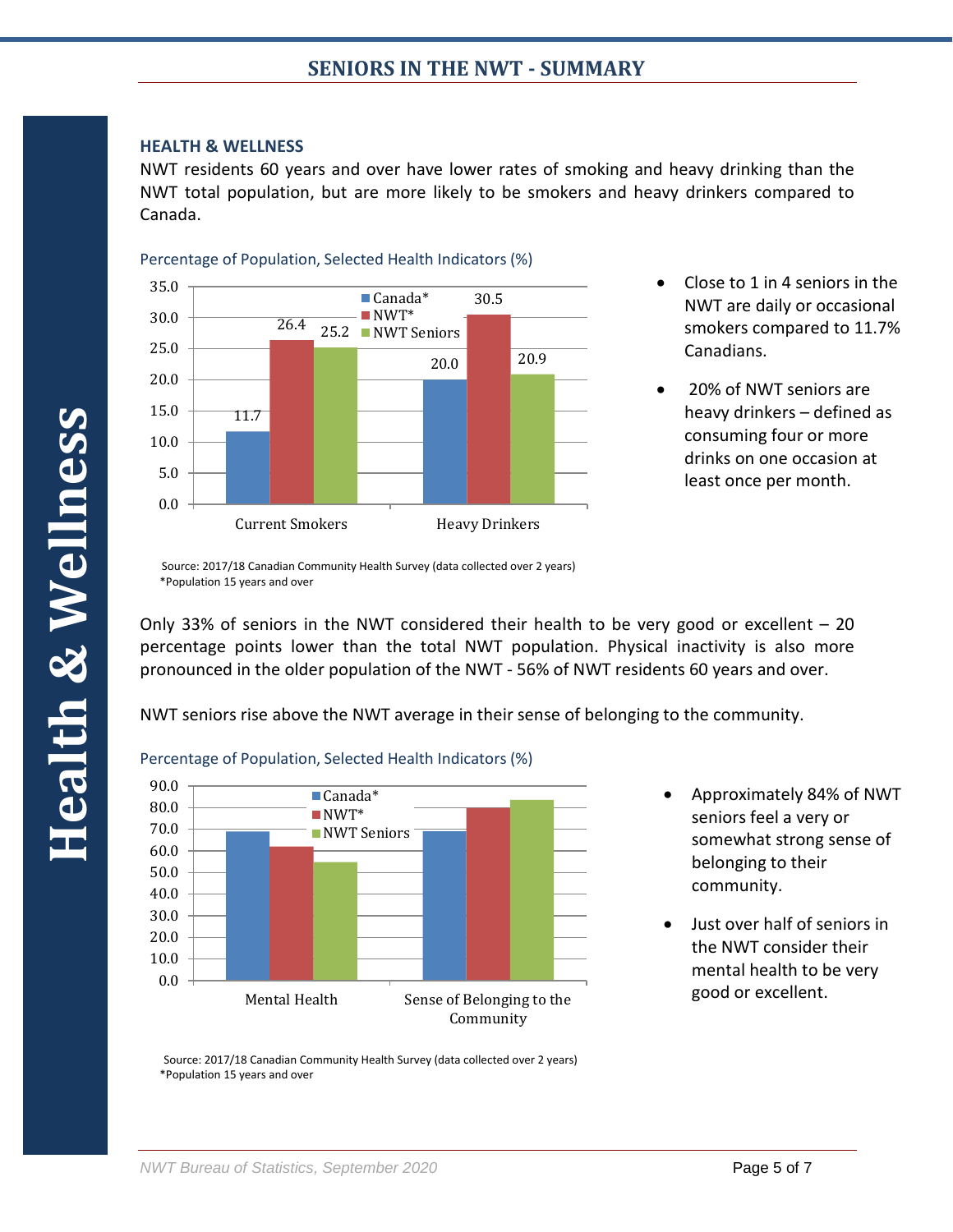### **HEALTH & WELLNESS**

NWT residents 60 years and over have lower rates of smoking and heavy drinking than the NWT total population, but are more likely to be smokers and heavy drinkers compared to Canada.





- Close to 1 in 4 seniors in the NWT are daily or occasional smokers compared to 11.7% Canadians.
- 20% of NWT seniors are heavy drinkers – defined as consuming four or more drinks on one occasion at least once per month.

Only 33% of seniors in the NWT considered their health to be very good or excellent – 20 percentage points lower than the total NWT population. Physical inactivity is also more pronounced in the older population of the NWT - 56% of NWT residents 60 years and over.

NWT seniors rise above the NWT average in their sense of belonging to the community.



## Percentage of Population, Selected Health Indicators (%)

- Approximately 84% of NWT seniors feel a very or somewhat strong sense of belonging to their community.
- Just over half of seniors in the NWT consider their mental health to be very good or excellent.

 Source: 2017/18 Canadian Community Health Survey (data collected over 2 years) \*Population 15 years and over

Source: 2017/18 Canadian Community Health Survey (data collected over 2 years) \*Population 15 years and over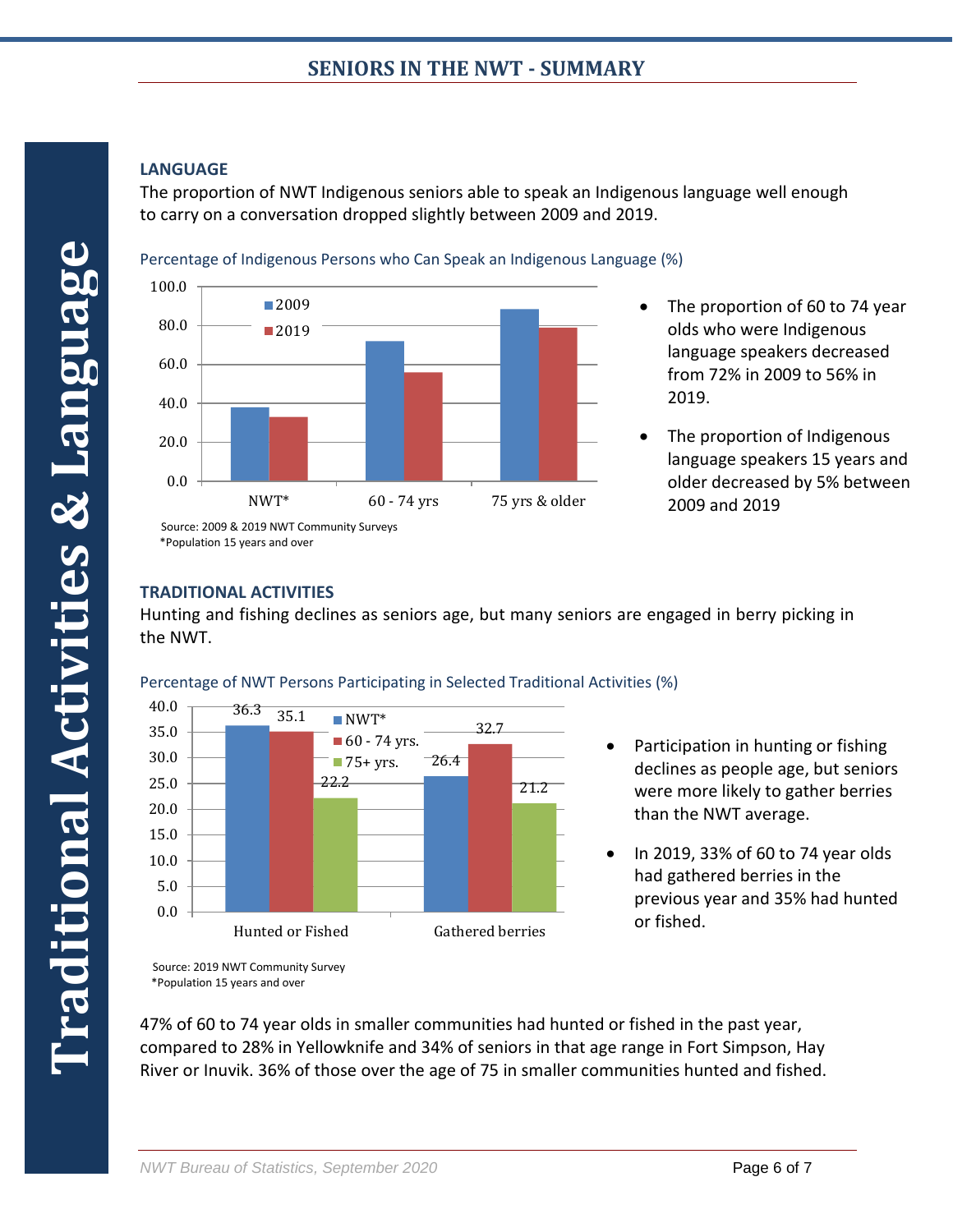# **LANGUAGE**

The proportion of NWT Indigenous seniors able to speak an Indigenous language well enough to carry on a conversation dropped slightly between 2009 and 2019.

Percentage of Indigenous Persons who Can Speak an Indigenous Language (%)



- The proportion of 60 to 74 year olds who were Indigenous language speakers decreased from 72% in 2009 to 56% in 2019.
- The proportion of Indigenous language speakers 15 years and older decreased by 5% between 2009 and 2019

# \*Population 15 years and over

# **TRADITIONAL ACTIVITIES**

Hunting and fishing declines as seniors age, but many seniors are engaged in berry picking in the NWT.



Percentage of NWT Persons Participating in Selected Traditional Activities (%)

- Participation in hunting or fishing declines as people age, but seniors were more likely to gather berries than the NWT average.
	- In 2019, 33% of 60 to 74 year olds had gathered berries in the previous year and 35% had hunted or fished.

47% of 60 to 74 year olds in smaller communities had hunted or fished in the past year, compared to 28% in Yellowknife and 34% of seniors in that age range in Fort Simpson, Hay River or Inuvik. 36% of those over the age of 75 in smaller communities hunted and fished.

Source: 2019 NWT Community Survey \*Population 15 years and over